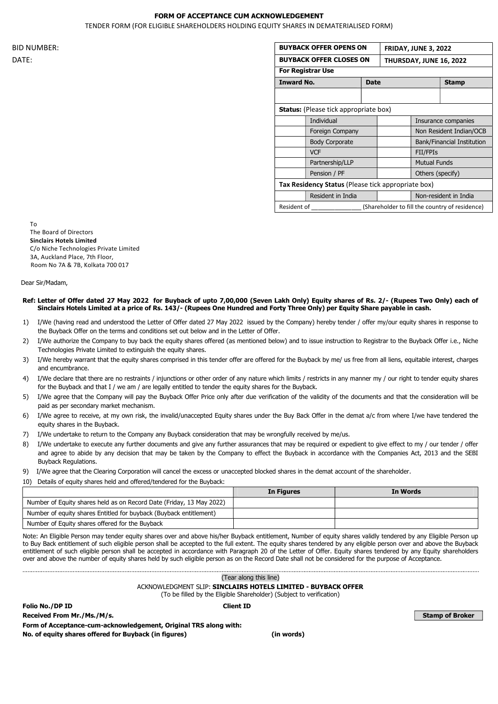## FORM OF ACCEPTANCE CUM ACKNOWLEDGEMENT

TENDER FORM (FOR ELIGIBLE SHAREHOLDERS HOLDING EQUITY SHARES IN DEMATERIALISED FORM)

|       |                          | <b>BUYBACK OFFER OPENS ON</b>                      |  | <b>FRIDAY, JUNE 3, 2022</b><br>THURSDAY, JUNE 16, 2022 |                            |
|-------|--------------------------|----------------------------------------------------|--|--------------------------------------------------------|----------------------------|
| DATE: |                          | <b>BUYBACK OFFER CLOSES ON</b>                     |  |                                                        |                            |
|       | <b>For Registrar Use</b> |                                                    |  |                                                        |                            |
|       |                          | <b>Inward No.</b><br><b>Date</b>                   |  |                                                        | <b>Stamp</b>               |
|       |                          |                                                    |  |                                                        |                            |
|       |                          | <b>Status:</b> (Please tick appropriate box)       |  |                                                        |                            |
|       |                          | Individual                                         |  |                                                        | Insurance companies        |
|       |                          | Foreign Company                                    |  |                                                        | Non Resident Indian/OCB    |
|       |                          | <b>Body Corporate</b>                              |  |                                                        | Bank/Financial Institution |
|       |                          | <b>VCF</b>                                         |  | FII/FPIs                                               |                            |
|       |                          | Partnership/LLP                                    |  | <b>Mutual Funds</b>                                    |                            |
|       |                          | Pension / PF                                       |  | Others (specify)                                       |                            |
|       |                          | Tax Residency Status (Please tick appropriate box) |  |                                                        |                            |
|       |                          | Resident in India                                  |  |                                                        | Non-resident in India      |
|       | Resident of              |                                                    |  | (Shareholder to fill the country of residence)         |                            |

To The Board of Directors Sinclairs Hotels Limited C/o Niche Technologies Private Limited 3A, Auckland Place, 7th Floor, Room No 7A & 7B, Kolkata 700 017

Dear Sir/Madam,

## Ref: Letter of Offer dated 27 May 2022 for Buyback of upto 7,00,000 (Seven Lakh Only) Equity shares of Rs. 2/- (Rupees Two Only) each of Sinclairs Hotels Limited at a price of Rs. 143/- (Rupees One Hundred and Forty Three Only) per Equity Share payable in cash.

- 1) I/We (having read and understood the Letter of Offer dated 27 May 2022 issued by the Company) hereby tender / offer my/our equity shares in response to the Buyback Offer on the terms and conditions set out below and in the Letter of Offer.
- 2) I/We authorize the Company to buy back the equity shares offered (as mentioned below) and to issue instruction to Registrar to the Buyback Offer i.e., Niche Technologies Private Limited to extinguish the equity shares.
- 3) I/We hereby warrant that the equity shares comprised in this tender offer are offered for the Buyback by me/ us free from all liens, equitable interest, charges and encumbrance.
- 4) I/We declare that there are no restraints / injunctions or other order of any nature which limits / restricts in any manner my / our right to tender equity shares for the Buyback and that I / we am / are legally entitled to tender the equity shares for the Buyback.
- 5) I/We agree that the Company will pay the Buyback Offer Price only after due verification of the validity of the documents and that the consideration will be paid as per secondary market mechanism.
- 6) I/We agree to receive, at my own risk, the invalid/unaccepted Equity shares under the Buy Back Offer in the demat a/c from where I/we have tendered the equity shares in the Buyback.
- 7) I/We undertake to return to the Company any Buyback consideration that may be wrongfully received by me/us.
- 8) I/We undertake to execute any further documents and give any further assurances that may be required or expedient to give effect to my / our tender / offer and agree to abide by any decision that may be taken by the Company to effect the Buyback in accordance with the Companies Act, 2013 and the SEBI Buyback Regulations.
- 9) I/We agree that the Clearing Corporation will cancel the excess or unaccepted blocked shares in the demat account of the shareholder.
- 10) Details of equity shares held and offered/tendered for the Buyback:

|                                                                      | In Figures | In Words |
|----------------------------------------------------------------------|------------|----------|
| Number of Equity shares held as on Record Date (Friday, 13 May 2022) |            |          |
| Number of equity shares Entitled for buyback (Buyback entitlement)   |            |          |
| Number of Equity shares offered for the Buyback                      |            |          |

Note: An Eligible Person may tender equity shares over and above his/her Buyback entitlement, Number of equity shares validly tendered by any Eligible Person up to Buy Back entitlement of such eligible person shall be accepted to the full extent. The equity shares tendered by any eligible person over and above the Buyback entitlement of such eligible person shall be accepted in accordance with Paragraph 20 of the Letter of Offer. Equity shares tendered by any Equity shareholders over and above the number of equity shares held by such eligible person as on the Record Date shall not be considered for the purpose of Acceptance.

|                                                                                                                                       | (Tear along this line) |  |  |  |
|---------------------------------------------------------------------------------------------------------------------------------------|------------------------|--|--|--|
| ACKNOWLEDGMENT SLIP: SINCLAIRS HOTELS LIMITED - BUYBACK OFFER<br>(To be filled by the Eligible Shareholder) (Subject to verification) |                        |  |  |  |
| <b>Client ID</b><br>Folio No./DP ID                                                                                                   |                        |  |  |  |
| Received From Mr./Ms./M/s.                                                                                                            | <b>Stamp of Broker</b> |  |  |  |
| Form of Acceptance-cum-acknowledgement, Original TRS along with:                                                                      |                        |  |  |  |
| No. of equity shares offered for Buyback (in figures)                                                                                 | (in words)             |  |  |  |
|                                                                                                                                       |                        |  |  |  |